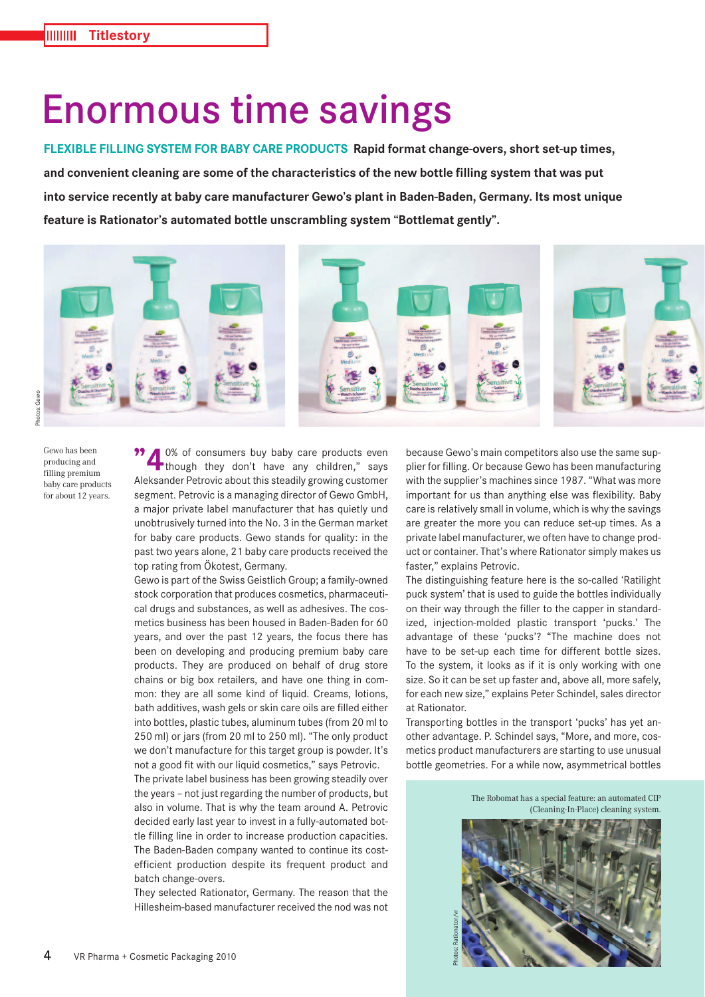## Enormous time savings

**FLEXIBLE FILLING SYSTEM FOR BABY CARE PRODUCTS Rapid format change-overs, short set-up times, and convenient cleaning are some of the characteristics of the new bottle filling system that was put into service recently at baby care manufacturer Gewo's plant in Baden-Baden, Germany. Its most unique feature is Rationator's automated bottle unscrambling system "Bottlemat gently".**



Gewo has been producing and filling premium baby care products for about 12 years.

**"4** 0% of consumers buy baby care products even<br>though they don't have any children," says Aleksander Petrovic about this steadily growing customer segment. Petrovic is a managing director of Gewo GmbH, a major private label manufacturer that has quietly und unobtrusively turned into the No. 3 in the German market for baby care products. Gewo stands for quality: in the past two years alone, 21 baby care products received the top rating from Ökotest, Germany.

Gewo is part of the Swiss Geistlich Group; a family-owned stock corporation that produces cosmetics, pharmaceutical drugs and substances, as well as adhesives. The cosmetics business has been housed in Baden-Baden for 60 years, and over the past 12 years, the focus there has been on developing and producing premium baby care products. They are produced on behalf of drug store chains or big box retailers, and have one thing in common: they are all some kind of liquid. Creams, lotions, bath additives, wash gels or skin care oils are filled either into bottles, plastic tubes, aluminum tubes (from 20 ml to 250 ml) or jars (from 20 ml to 250 ml). "The only product we don't manufacture for this target group is powder. It's not a good fit with our liquid cosmetics," says Petrovic.

The private label business has been growing steadily over the years – not just regarding the number of products, but also in volume. That is why the team around A. Petrovic decided early last year to invest in a fully-automated bottle filling line in order to increase production capacities. The Baden-Baden company wanted to continue its costefficient production despite its frequent product and batch change-overs.

They selected Rationator, Germany. The reason that the Hillesheim-based manufacturer received the nod was not

because Gewo's main competitors also use the same supplier for filling. Or because Gewo has been manufacturing with the supplier's machines since 1987. "What was more important for us than anything else was flexibility. Baby care is relatively small in volume, which is why the savings are greater the more you can reduce set-up times. As a private label manufacturer, we often have to change product or container. That's where Rationator simply makes us faster," explains Petrovic.

The distinguishing feature here is the so-called 'Ratilight puck system' that is used to guide the bottles individually on their way through the filler to the capper in standardized, injection-molded plastic transport 'pucks.' The advantage of these 'pucks'? "The machine does not have to be set-up each time for different bottle sizes. To the system, it looks as if it is only working with one size. So it can be set up faster and, above all, more safely, for each new size," explains Peter Schindel, sales director at Rationator.

Transporting bottles in the transport 'pucks' has yet another advantage. P. Schindel says, "More, and more, cosmetics product manufacturers are starting to use unusual bottle geometries. For a while now, asymmetrical bottles

> The Robomat has a special feature: an automated CIP (Cleaning-In-Place) cleaning system.